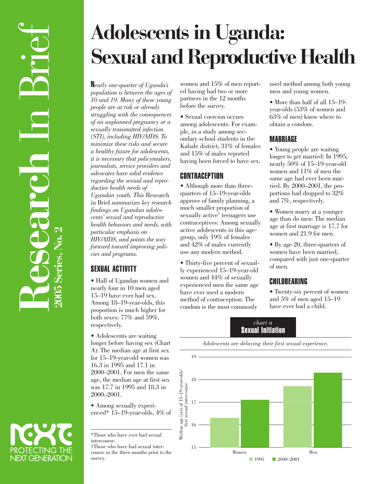# **Adolescents in Uganda: Sexual and Reproductive Health**

N*early one-quarter of Uganda's population is between the ages of 10 and 19. Many of these young people are at risk or already struggling with the consequences of an unplanned pregnancy or a sexually transmitted infection (STI), including HIV/AIDS. To minimize these risks and secure a healthy future for adolescents, it is necessary that policymakers, journalists, service providers and advocates have solid evidence regarding the sexual and reproductive health needs of Ugandan youth. This* Research in Brief *summarizes key research findings on Ugandan adolescents' sexual and reproductive health behaviors and needs, with particular emphasis on HIV/AIDS, and points the way forward toward improving policies and programs.*

### SEXUAL ACTIVITY

• Half of Ugandan women and nearly four in 10 men aged 15–19 have ever had sex. Among 18–19-year-olds, this proportion is much higher for both sexes: 77% and 59%, respectively.

• Adolescents are waiting longer before having sex (Chart A): The median age at first sex for 15–19-year-old women was 16.3 in 1995 and 17.1 in 2000–2001. For men the same age, the median age at first sex was 17.7 in 1995 and 18.3 in 2000–2001.

• Among sexually experienced\* 15–19-year-olds, 4% of

\*Those who have ever had sexual intercourse. †Those who have had sexual inter-

course in the three months prior to the survey.

women and 15% of men reported having had two or more partners in the 12 months before the survey.

• Sexual coercion occurs among adolescents. For example, in a study among secondary school students in the Kabale district, 31% of females and 15% of males reported having been forced to have sex.

## **CONTRACEPTION**

• Although more than threequarters of 15–19-year-olds approve of family planning, a much smaller proportion of sexually active† teenagers use contraceptives: Among sexually active adolescents in this agegroup, only 19% of females and 42% of males currently use any modern method.

• Thirty-five percent of sexually experienced 15–19-year-old women and 44% of sexually experienced men the same age have ever used a modern method of contraception. The condom is the most commonly

used method among both young men and young women.

• More than half of all 15–19year-olds (53% of women and 63% of men) know where to obtain a condom.

### MARRIAGE

• Young people are waiting longer to get married: In 1995, nearly 50% of 15–19-year-old women and 11% of men the same age had ever been married. By 2000–2001, the proportions had dropped to 32% and 7%, respectively.

• Women marry at a younger age than do men: The median age at first marriage is 17.7 for women and 21.9 for men.

• By age 20, three-quarters of women have been married, compared with just one-quarter of men.

#### CHILDBEARING

• Twenty-six percent of women and 5% of men aged 15–19 have ever had a child.

#### *chart a* Sexual Initiation



*Adolescents are delaying their first sexual experience.*

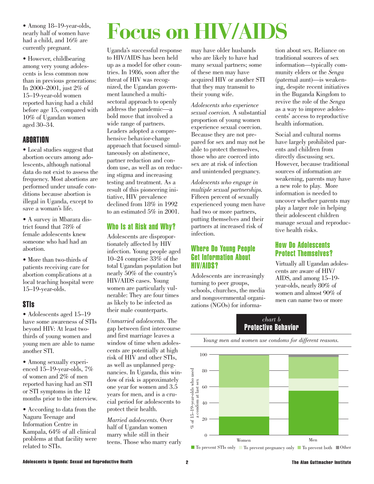• Among 18–19-year-olds, nearly half of women have had a child, and 16% are currently pregnant.

• However, childbearing among very young adolescents is less common now than in previous generations: In 2000–2001, just 2% of 15–19-year-old women reported having had a child before age 15, compared with 10% of Ugandan women aged 30–34.

#### ABORTION

• Local studies suggest that abortion occurs among adolescents, although national data do not exist to assess the frequency. Most abortions are performed under unsafe conditions because abortion is illegal in Uganda, except to save a woman's life.

• A survey in Mbarara district found that 78% of female adolescents knew someone who had had an abortion.

• More than two-thirds of patients receiving care for abortion complications at a local teaching hospital were 15–19-year-olds.

#### STIs

• Adolescents aged 15–19 have some awareness of STIs beyond HIV: At least twothirds of young women and young men are able to name another STI.

• Among sexually experienced 15–19-year-olds, 7% of women and 2% of men reported having had an STI or STI symptoms in the 12 months prior to the interview.

• According to data from the Naguru Teenage and Information Centre in Kampala, 64% of all clinical problems at that facility were related to STIs.

# **Focus on HIV/AIDS**

Uganda's successful response to HIV/AIDS has been held up as a model for other countries. In 1986, soon after the threat of HIV was recognized, the Ugandan government launched a multisectoral approach to openly address the pandemic—a bold move that involved a wide range of partners. Leaders adopted a comprehensive behavior-change approach that focused simultaneously on abstinence, partner reduction and condom use, as well as on reducing stigma and increasing testing and treatment. As a result of this pioneering initiative, HIV prevalence declined from 18% in 1992 to an estimated 5% in 2001.

#### Who Is at Risk and Why?

Adolescents are disproportionately affected by HIV infection. Young people aged 10–24 comprise 33% of the total Ugandan population but nearly 50% of the country's HIV/AIDS cases. Young women are particularly vulnerable: They are four times as likely to be infected as their male counterparts.

*Unmarried adolescents.* The gap between first intercourse and first marriage leaves a window of time when adolescents are potentially at high risk of HIV and other STIs, as well as unplanned pregnancies. In Uganda, this window of risk is approximately one year for women and 3.5 years for men, and is a crucial period for adolescents to protect their health.

*Married adolescents.* Over half of Ugandan women marry while still in their teens. Those who marry early may have older husbands who are likely to have had many sexual partners; some of these men may have acquired HIV or another STI that they may transmit to their young wife.

*Adolescents who experience sexual coercion.* A substantial proportion of young women experience sexual coercion. Because they are not prepared for sex and may not be able to protect themselves, those who are coerced into sex are at risk of infection and unintended pregnancy.

*Adolescents who engage in multiple sexual partnerships.* Fifteen percent of sexually experienced young men have had two or more partners, putting themselves and their partners at increased risk of infection.

#### Where Do Young People Get Information About HIV/AIDS?

Adolescents are increasingly turning to peer groups, schools, churches, the media and nongovernmental organizations (NGOs) for informa-

tion about sex. Reliance on traditional sources of sex information—typically community elders or the *Senga* (paternal aunt)—is weakening, despite recent initiatives in the Buganda Kingdom to revive the role of the *Senga* as a way to improve adolescents' access to reproductive health information.

Social and cultural norms have largely prohibited parents and children from directly discussing sex. However, because traditional sources of information are weakening, parents may have a new role to play. More information is needed to uncover whether parents may play a larger role in helping their adolescent children manage sexual and reproductive health risks.

#### How Do Adolescents Protect Themselves?

Virtually all Ugandan adolescents are aware of HIV/ AIDS, and among 15–19 year-olds, nearly 80% of women and almost 90% of men can name two or more

#### *chart b* Protective Behavior

*Young men and women use condoms for different reasons.*



To prevent STIs only ■ To prevent pregnancy only ■ To prevent both ■ Other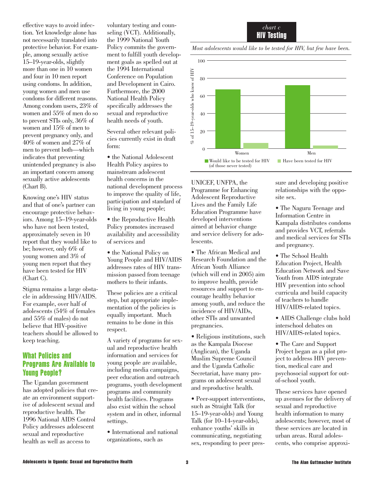effective ways to avoid infection. Yet knowledge alone has not necessarily translated into protective behavior. For example, among sexually active 15–19-year-olds, slightly more than one in 10 women and four in 10 men report using condoms. In addition, young women and men use condoms for different reasons. Among condom users, 23% of women and 55% of men do so to prevent STIs only, 36% of women and 15% of men to prevent pregnancy only, and 40% of women and 27% of men to prevent both—which indicates that preventing unintended pregnancy is also an important concern among sexually active adolescents (Chart B).

Knowing one's HIV status and that of one's partner can encourage protective behaviors. Among 15–19-year-olds who have not been tested, approximately seven in 10 report that they would like to be; however, only 6% of young women and 3% of young men report that they have been tested for HIV (Chart C).

Stigma remains a large obstacle in addressing HIV/AIDS. For example, over half of adolescents (54% of females and 55% of males) do not believe that HIV-positive teachers should be allowed to keep teaching.

#### What Policies and Programs Are Available to Young People?

The Ugandan government has adopted policies that create an environment supportive of adolescent sexual and reproductive health. The 1996 National AIDS Control Policy addresses adolescent sexual and reproductive health as well as access to

voluntary testing and counseling (VCT). Additionally, the 1999 National Youth Policy commits the government to fulfill youth development goals as spelled out at the 1994 International Conference on Population and Development in Cairo. Furthermore, the 2000 National Health Policy specifically addresses the sexual and reproductive health needs of youth.

Several other relevant policies currently exist in draft form:

• the National Adolescent Health Policy aspires to mainstream adolescent health concerns in the national development process to improve the quality of life, participation and standard of living in young people;

• the Reproductive Health Policy promotes increased availability and accessibility of services and

• the National Policy on Young People and HIV/AIDS addresses rates of HIV transmission passed from teenage mothers to their infants.

These policies are a critical step, but appropriate implementation of the policies is equally important. Much remains to be done in this respect.

A variety of programs for sexual and reproductive health information and services for young people are available, including media campaigns, peer education and outreach programs, youth development programs and community health facilities. Programs also exist within the school system and in other, informal settings.

• International and national organizations, such as



*Most adolescents would like to be tested for HIV, but few have been.*



UNICEF, UNFPA, the Programme for Enhancing Adolescent Reproductive Lives and the Family Life Education Programme have developed interventions aimed at behavior change and service delivery for adolescents.

• The African Medical and Research Foundation and the African Youth Alliance (which will end in 2005) aim to improve health, provide resources and support to encourage healthy behavior among youth, and reduce the incidence of HIV/AIDs, other STIs and unwanted pregnancies.

• Religious institutions, such as the Kampala Diocese (Anglican), the Uganda Muslim Supreme Council and the Uganda Catholic Secretariat, have many programs on adolescent sexual and reproductive health.

• Peer-support interventions, such as Straight Talk (for 15–19-year-olds) and Young Talk (for 10–14-year-olds), enhance youths' skills in communicating, negotiating sex, responding to peer pressure and developing positive relationships with the opposite sex.

- The Naguru Teenage and Information Centre in Kampala distributes condoms and provides VCT, referrals and medical services for STIs and pregnancy.
- The School Health Education Project, Health Education Network and Save Youth from AIDS integrate HIV prevention into school curricula and build capacity of teachers to handle HIV/AIDS-related topics.

• AIDS Challenge clubs hold interschool debates on HIV/AIDS-related topics.

• The Care and Support Project began as a pilot project to address HIV prevention, medical care and psychosocial support for outof-school youth.

These services have opened up avenues for the delivery of sexual and reproductive health information to many adolescents; however, most of these services are located in urban areas. Rural adolescents, who comprise approxi-